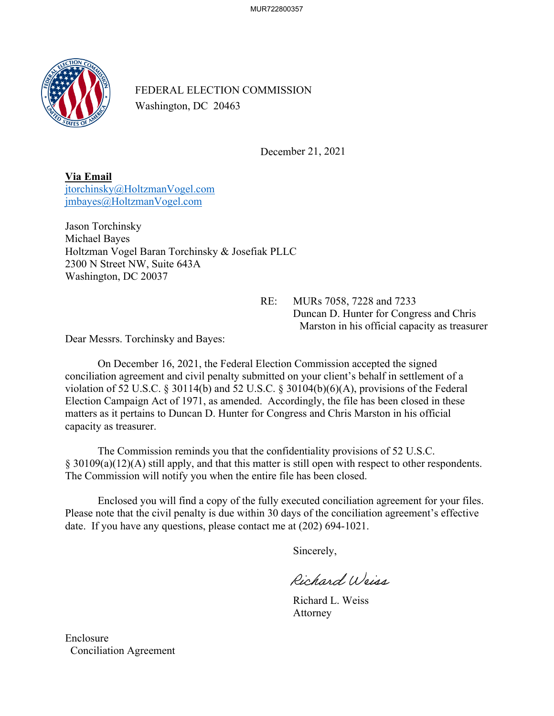MUR722800357



FEDERAL ELECTION COMMISSION Washington, DC 20463

December 21, 2021

**Via Email**  [jtorchinsky@HoltzmanVogel.com](mailto:jtorchinsky@HoltzmanVogel.com) [jmbayes@HoltzmanVogel.com](mailto:jmbayes@HoltzmanVogel.com)

Jason Torchinsky Michael Bayes Holtzman Vogel Baran Torchinsky & Josefiak PLLC 2300 N Street NW, Suite 643A Washington, DC 20037

> RE: MURs 7058, 7228 and 7233 Duncan D. Hunter for Congress and Chris Marston in his official capacity as treasurer

Dear Messrs. Torchinsky and Bayes:

On December 16, 2021, the Federal Election Commission accepted the signed conciliation agreement and civil penalty submitted on your client's behalf in settlement of a violation of 52 U.S.C. § 30114(b) and 52 U.S.C. § 30104(b)(6)(A), provisions of the Federal Election Campaign Act of 1971, as amended. Accordingly, the file has been closed in these matters as it pertains to Duncan D. Hunter for Congress and Chris Marston in his official capacity as treasurer.

The Commission reminds you that the confidentiality provisions of 52 U.S.C. § 30109(a)(12)(A) still apply, and that this matter is still open with respect to other respondents. The Commission will notify you when the entire file has been closed.

Enclosed you will find a copy of the fully executed conciliation agreement for your files. Please note that the civil penalty is due within 30 days of the conciliation agreement's effective date. If you have any questions, please contact me at (202) 694-1021.

Sincerely,

Richard Weiss

Richard L. Weiss Attorney

Enclosure Conciliation Agreement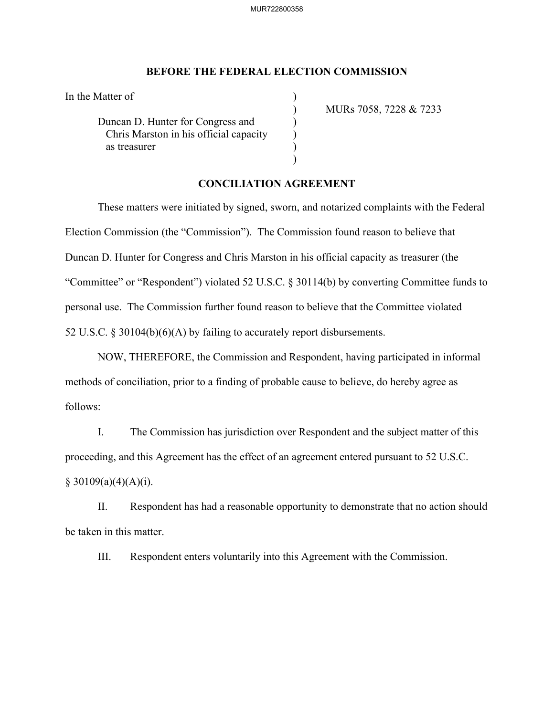## **BEFORE THE FEDERAL ELECTION COMMISSION**

In the Matter of

Duncan D. Hunter for Congress and ) Chris Marston in his official capacity (b) as treasurer (a)

) MURs 7058, 7228 & 7233

## **CONCILIATION AGREEMENT**

)

These matters were initiated by signed, sworn, and notarized complaints with the Federal Election Commission (the "Commission"). The Commission found reason to believe that Duncan D. Hunter for Congress and Chris Marston in his official capacity as treasurer (the "Committee" or "Respondent") violated 52 U.S.C. § 30114(b) by converting Committee funds to personal use. The Commission further found reason to believe that the Committee violated 52 U.S.C. § 30104(b)(6)(A) by failing to accurately report disbursements.

NOW, THEREFORE, the Commission and Respondent, having participated in informal methods of conciliation, prior to a finding of probable cause to believe, do hereby agree as follows:

I. The Commission has jurisdiction over Respondent and the subject matter of this proceeding, and this Agreement has the effect of an agreement entered pursuant to 52 U.S.C.  $§ 30109(a)(4)(A)(i).$ 

II. Respondent has had a reasonable opportunity to demonstrate that no action should be taken in this matter.

III. Respondent enters voluntarily into this Agreement with the Commission.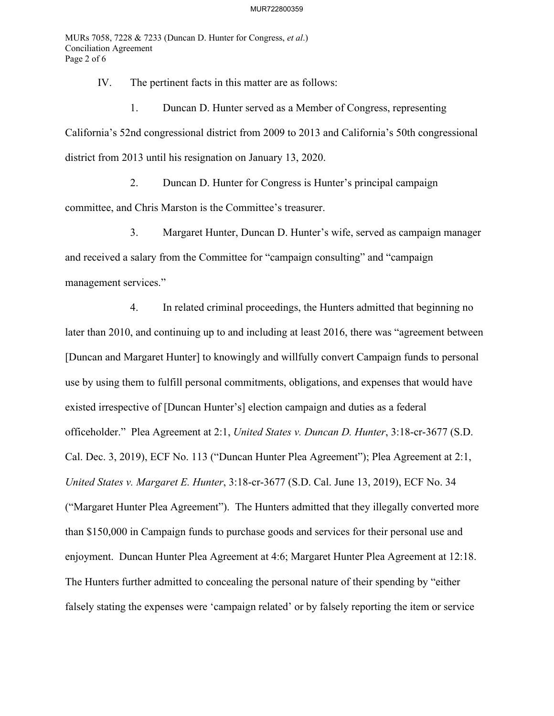MURs 7058, 7228 & 7233 (Duncan D. Hunter for Congress, *et al*.) Conciliation Agreement Page 2 of 6

IV. The pertinent facts in this matter are as follows:

1. Duncan D. Hunter served as a Member of Congress, representing

California's 52nd congressional district from 2009 to 2013 and California's 50th congressional district from 2013 until his resignation on January 13, 2020.

2. Duncan D. Hunter for Congress is Hunter's principal campaign committee, and Chris Marston is the Committee's treasurer.

3. Margaret Hunter, Duncan D. Hunter's wife, served as campaign manager and received a salary from the Committee for "campaign consulting" and "campaign management services."

4. In related criminal proceedings, the Hunters admitted that beginning no later than 2010, and continuing up to and including at least 2016, there was "agreement between [Duncan and Margaret Hunter] to knowingly and willfully convert Campaign funds to personal use by using them to fulfill personal commitments, obligations, and expenses that would have existed irrespective of [Duncan Hunter's] election campaign and duties as a federal officeholder." Plea Agreement at 2:1, *United States v. Duncan D. Hunter*, 3:18-cr-3677 (S.D. Cal. Dec. 3, 2019), ECF No. 113 ("Duncan Hunter Plea Agreement"); Plea Agreement at 2:1, *United States v. Margaret E. Hunter*, 3:18-cr-3677 (S.D. Cal. June 13, 2019), ECF No. 34 ("Margaret Hunter Plea Agreement"). The Hunters admitted that they illegally converted more than \$150,000 in Campaign funds to purchase goods and services for their personal use and enjoyment. Duncan Hunter Plea Agreement at 4:6; Margaret Hunter Plea Agreement at 12:18. The Hunters further admitted to concealing the personal nature of their spending by "either falsely stating the expenses were 'campaign related' or by falsely reporting the item or service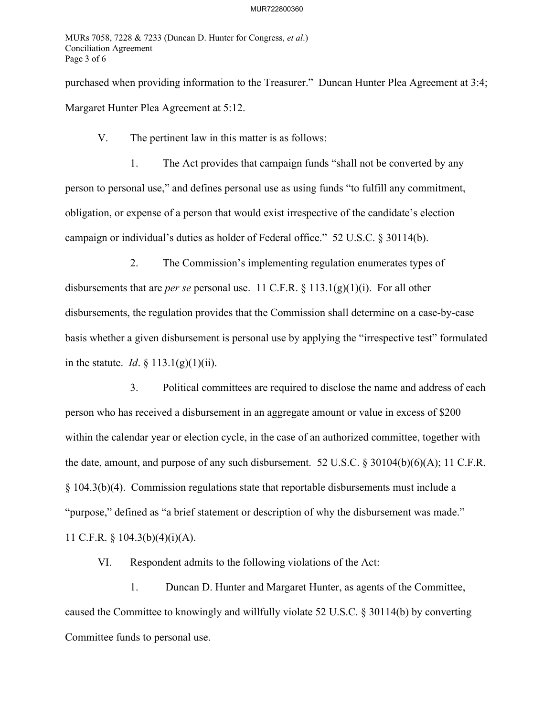MURs 7058, 7228 & 7233 (Duncan D. Hunter for Congress, *et al*.) Conciliation Agreement Page 3 of 6

purchased when providing information to the Treasurer." Duncan Hunter Plea Agreement at 3:4; Margaret Hunter Plea Agreement at 5:12.

V. The pertinent law in this matter is as follows:

1. The Act provides that campaign funds "shall not be converted by any person to personal use," and defines personal use as using funds "to fulfill any commitment, obligation, or expense of a person that would exist irrespective of the candidate's election campaign or individual's duties as holder of Federal office." 52 U.S.C. § 30114(b).

2. The Commission's implementing regulation enumerates types of disbursements that are *per se* personal use. 11 C.F.R. § 113.1(g)(1)(i). For all other disbursements, the regulation provides that the Commission shall determine on a case-by-case basis whether a given disbursement is personal use by applying the "irrespective test" formulated in the statute. *Id*. § 113.1(g)(1)(ii).

3. Political committees are required to disclose the name and address of each person who has received a disbursement in an aggregate amount or value in excess of \$200 within the calendar year or election cycle, in the case of an authorized committee, together with the date, amount, and purpose of any such disbursement. 52 U.S.C. § 30104(b)(6)(A); 11 C.F.R. § 104.3(b)(4). Commission regulations state that reportable disbursements must include a "purpose," defined as "a brief statement or description of why the disbursement was made." 11 C.F.R. § 104.3(b)(4)(i)(A).

VI. Respondent admits to the following violations of the Act:

1. Duncan D. Hunter and Margaret Hunter, as agents of the Committee, caused the Committee to knowingly and willfully violate 52 U.S.C. § 30114(b) by converting Committee funds to personal use.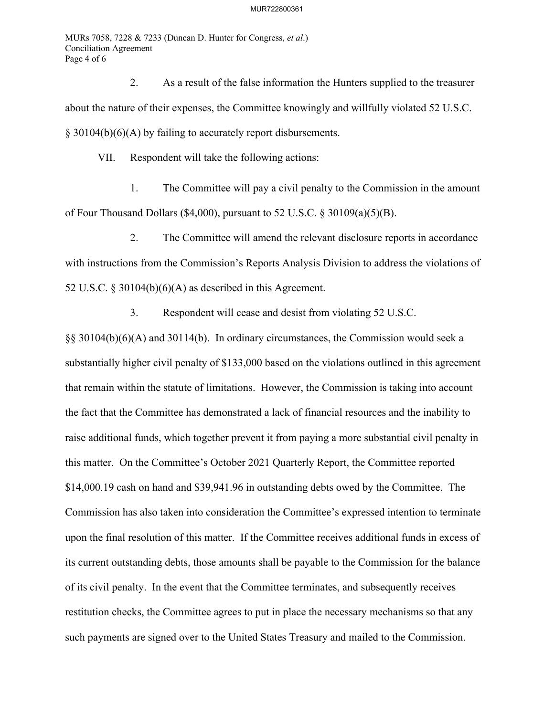## MUR722800361

MURs 7058, 7228 & 7233 (Duncan D. Hunter for Congress, *et al*.) Conciliation Agreement Page 4 of 6

2. As a result of the false information the Hunters supplied to the treasurer about the nature of their expenses, the Committee knowingly and willfully violated 52 U.S.C. § 30104(b)(6)(A) by failing to accurately report disbursements.

VII. Respondent will take the following actions:

1. The Committee will pay a civil penalty to the Commission in the amount of Four Thousand Dollars (\$4,000), pursuant to 52 U.S.C. § 30109(a)(5)(B).

2. The Committee will amend the relevant disclosure reports in accordance with instructions from the Commission's Reports Analysis Division to address the violations of 52 U.S.C. § 30104(b) $(6)(A)$  as described in this Agreement.

3. Respondent will cease and desist from violating 52 U.S.C.

§§ 30104(b)(6)(A) and 30114(b). In ordinary circumstances, the Commission would seek a substantially higher civil penalty of \$133,000 based on the violations outlined in this agreement that remain within the statute of limitations. However, the Commission is taking into account the fact that the Committee has demonstrated a lack of financial resources and the inability to raise additional funds, which together prevent it from paying a more substantial civil penalty in this matter. On the Committee's October 2021 Quarterly Report, the Committee reported \$14,000.19 cash on hand and \$39,941.96 in outstanding debts owed by the Committee. The Commission has also taken into consideration the Committee's expressed intention to terminate upon the final resolution of this matter. If the Committee receives additional funds in excess of its current outstanding debts, those amounts shall be payable to the Commission for the balance of its civil penalty. In the event that the Committee terminates, and subsequently receives restitution checks, the Committee agrees to put in place the necessary mechanisms so that any such payments are signed over to the United States Treasury and mailed to the Commission.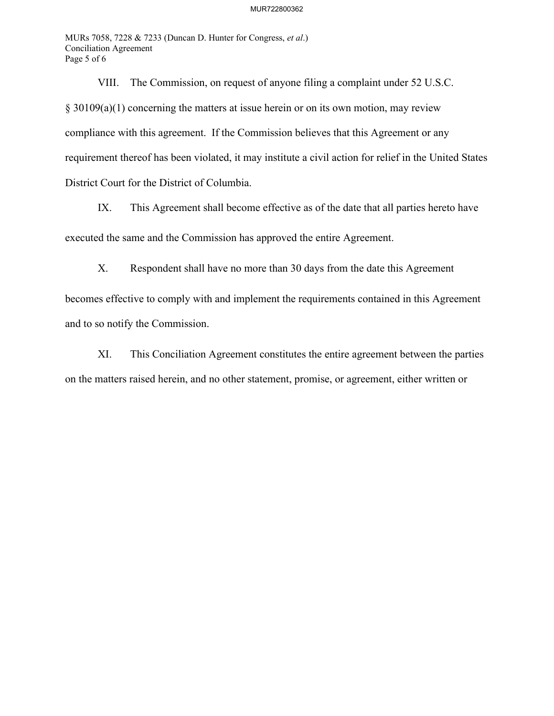## MUR722800362

MURs 7058, 7228 & 7233 (Duncan D. Hunter for Congress, *et al*.) Conciliation Agreement Page 5 of 6

VIII. The Commission, on request of anyone filing a complaint under 52 U.S.C. § 30109(a)(1) concerning the matters at issue herein or on its own motion, may review compliance with this agreement. If the Commission believes that this Agreement or any requirement thereof has been violated, it may institute a civil action for relief in the United States District Court for the District of Columbia.

IX. This Agreement shall become effective as of the date that all parties hereto have

executed the same and the Commission has approved the entire Agreement.

X. Respondent shall have no more than 30 days from the date this Agreement

becomes effective to comply with and implement the requirements contained in this Agreement and to so notify the Commission.

XI. This Conciliation Agreement constitutes the entire agreement between the parties on the matters raised herein, and no other statement, promise, or agreement, either written or